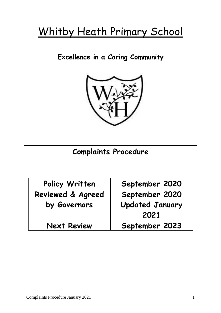# Whitby Heath Primary School

**Excellence in a Caring Community**



# **Complaints Procedure**

| Policy Written               | September 2020         |
|------------------------------|------------------------|
| <b>Reviewed &amp; Agreed</b> | September 2020         |
| by Governors                 | <b>Updated January</b> |
|                              | 2021                   |
| <b>Next Review</b>           | September 2023         |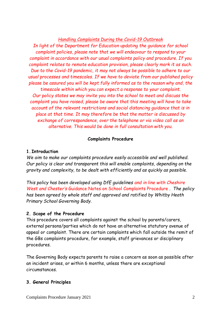*Handling Complaints During the Covid-19 Outbreak*

*In light of the Department for Education updating the guidance for school complaint policies, please note that we will endeavour to respond to your complaint in accordance with our usual complaints policy and procedure. If you complaint relates to remote education provision, please clearly mark it as such. Due to the Covid-19 pandemic, it may not always be possible to adhere to our usual processes and timescales. If we have to deviate from our published policy please be assured you will be kept fully informed as to the reason why and, the timescale within which you can expect a response to your complaint. Our policy states we may invite you into the school to meet and discuss the complaint you have raised, please be aware that this meeting will have to take account of the relevant restrictions and social distancing guidance that is in place at that time. It may therefore be that the matter is discussed by exchange of correspondence, over the telephone or via video call as an alternative. This would be done in full consultation with you.*

## **Complaints Procedure**

## **1.Introduction**

*We aim to make our complaints procedure easily accessible and well published. Our policy is clear and transparent this will enable complaints, depending on the gravity and complexity, to be dealt with efficiently and as quickly as possible.*

*This policy has been developed using DfE guidelines and in line with Cheshire West and Chester's* Guidance Notes on School Complaints Procedure *. The policy has been agreed by whole staff and approved and ratified by Whitby Heath Primary School Governing Body.*

# **2. Scope of the Procedure**

This procedure covers all complaints against the school by parents/carers, external persons/parties which do not have an alternative statutory avenue of appeal or complaint. There are certain complaints which fall outside the remit of the GBs complaints procedure, for example, staff grievances or disciplinary procedures.

The Governing Body expects parents to raise a concern as soon as possible after an incident arises, or within 6 months, unless there are exceptional circumstances.

# **3. General Principles**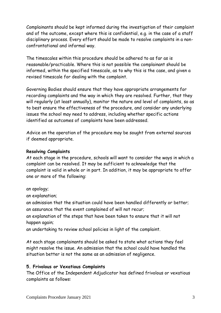Complainants should be kept informed during the investigation of their complaint and of the outcome, except where this is confidential, e.g. in the case of a staff disciplinary process. Every effort should be made to resolve complaints in a nonconfrontational and informal way.

The timescales within this procedure should be adhered to as far as is reasonable/practicable. Where this is not possible the complainant should be informed, within the specified timescale, as to why this is the case, and given a revised timescale for dealing with the complaint.

Governing Bodies should ensure that they have appropriate arrangements for recording complaints and the way in which they are resolved. Further, that they will regularly (at least annually), monitor the nature and level of complaints, so as to best ensure the effectiveness of the procedure, and consider any underlying issues the school may need to address, including whether specific actions identified as outcomes of complaints have been addressed.

Advice on the operation of the procedure may be sought from external sources if deemed appropriate.

#### **Resolving Complaints**

At each stage in the procedure, schools will want to consider the ways in which a complaint can be resolved. It may be sufficient to acknowledge that the complaint is valid in whole or in part. In addition, it may be appropriate to offer one or more of the following:

an apology;

an explanation;

an admission that the situation could have been handled differently or better; an assurance that the event complained of will not recur;

an explanation of the steps that have been taken to ensure that it will not happen again;

an undertaking to review school policies in light of the complaint.

At each stage complainants should be asked to state what actions they feel might resolve the issue. An admission that the school could have handled the situation better is not the same as an admission of negligence.

#### **5. Frivolous or Vexatious Complaints**

The Office of the Independent Adjudicator has defined frivolous or vexatious complaints as follows: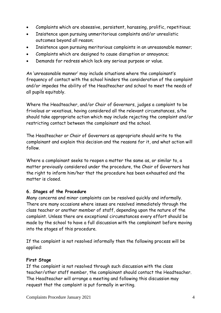- Complaints which are obsessive, persistent, harassing, prolific, repetitious;
- Insistence upon pursuing unmeritorious complaints and/or unrealistic outcomes beyond all reason;
- Insistence upon pursuing meritorious complaints in an unreasonable manner;
- Complaints which are designed to cause disruption or annoyance;
- Demands for redress which lack any serious purpose or value.

An 'unreasonable manner' may include situations where the complainant's frequency of contact with the school hinders the consideration of the complaint and/or impedes the ability of the Headteacher and school to meet the needs of all pupils equitably.

Where the Headteacher, and/or Chair of Governors, judges a complaint to be frivolous or vexatious, having considered all the relevant circumstances, s/he should take appropriate action which may include rejecting the complaint and/or restricting contact between the complainant and the school.

The Headteacher or Chair of Governors as appropriate should write to the complainant and explain this decision and the reasons for it, and what action will follow.

Where a complainant seeks to reopen a matter the same as, or similar to, a matter previously considered under the procedure, the Chair of Governors has the right to inform him/her that the procedure has been exhausted and the matter is closed.

#### **6. Stages of the Procedure**

Many concerns and minor complaints can be resolved quickly and informally. There are many occasions where issues are resolved immediately through the class teacher or another member of staff, depending upon the nature of the complaint. Unless there are exceptional circumstances every effort should be made by the school to have a full discussion with the complainant before moving into the stages of this procedure.

If the complaint is not resolved informally then the following process will be applied:

# **First Stage**

If the complaint is not resolved through such discussion with the class teacher/other staff member, the complainant should contact the Headteacher. The Headteacher will arrange a meeting and following this discussion may request that the complaint is put formally in writing.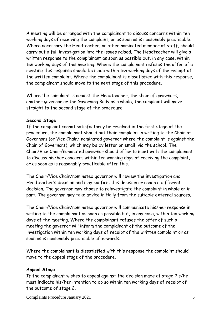A meeting will be arranged with the complainant to discuss concerns within ten working days of receiving the complaint, or as soon as is reasonably practicable. Where necessary the Headteacher, or other nominated member of staff, should carry out a full investigation into the issues raised. The Headteacher will give a written response to the complainant as soon as possible but, in any case, within ten working days of this meeting. Where the complainant refuses the offer of a meeting this response should be made within ten working days of the receipt of the written complaint. Where the complainant is dissatisfied with this response, the complainant should move to the next stage of this procedure.

Where the complaint is against the Headteacher, the chair of governors, another governor or the Governing Body as a whole, the complaint will move straight to the second stage of the procedure.

#### **Second Stage**

If the complaint cannot satisfactorily be resolved in the first stage of the procedure, the complainant should put their complaint in writing to the Chair of Governors (or Vice Chair/ nominated governor where the complaint is against the Chair of Governors), which may be by letter or email, via the school. The Chair/Vice Chair/nominated governor should offer to meet with the complainant to discuss his/her concerns within ten working days of receiving the complaint, or as soon as is reasonably practicable after this.

The Chair/Vice Chair/nominated governor will review the investigation and Headteacher's decision and may confirm this decision or reach a different decision. The governor may choose to reinvestigate the complaint in whole or in part. The governor may take advice initially from the suitable external sources.

The Chair/Vice Chair/nominated governor will communicate his/her response in writing to the complainant as soon as possible but, in any case, within ten working days of the meeting. Where the complainant refuses the offer of such a meeting the governor will inform the complainant of the outcome of the investigation within ten working days of receipt of the written complaint or as soon as is reasonably practicable afterwards.

Where the complainant is dissatisfied with this response the complaint should move to the appeal stage of the procedure.

#### **Appeal Stage**

If the complainant wishes to appeal against the decision made at stage 2 s/he must indicate his/her intention to do so within ten working days of receipt of the outcome of stage 2.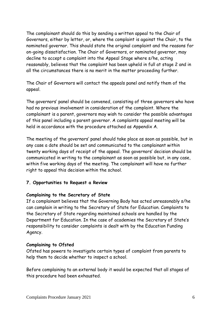The complainant should do this by sending a written appeal to the Chair of Governors, either by letter, or, where the complaint is against the Chair, to the nominated governor. This should state the original complaint and the reasons for on-going dissatisfaction. The Chair of Governors, or nominated governor, may decline to accept a complaint into the Appeal Stage where s/he, acting reasonably, believes that the complaint has been upheld in full at stage 2 and in all the circumstances there is no merit in the matter proceeding further.

The Chair of Governors will contact the appeals panel and notify them of the appeal.

The governors' panel should be convened, consisting of three governors who have had no previous involvement in consideration of the complaint. Where the complainant is a parent, governors may wish to consider the possible advantages of this panel including a parent governor. A complaints appeal meeting will be held in accordance with the procedure attached as Appendix A.

The meeting of the governors' panel should take place as soon as possible, but in any case a date should be set and communicated to the complainant within twenty working days of receipt of the appeal. The governors' decision should be communicated in writing to the complainant as soon as possible but, in any case, within five working days of the meeting. The complainant will have no further right to appeal this decision within the school.

#### **7. Opportunities to Request a Review**

#### **Complaining to the Secretary of State**

If a complainant believes that the Governing Body has acted unreasonably s/he can complain in writing to the Secretary of State for Education. Complaints to the Secretary of State regarding maintained schools are handled by the Department for Education. In the case of academies the Secretary of State's responsibility to consider complaints is dealt with by the Education Funding Agency.

#### **Complaining to Ofsted**

Ofsted has powers to investigate certain types of complaint from parents to help them to decide whether to inspect a school.

Before complaining to an external body it would be expected that all stages of this procedure had been exhausted.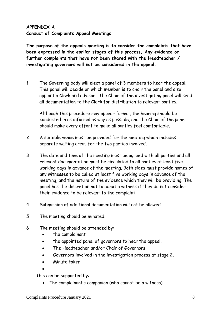# **APPENDIX A Conduct of Complaints Appeal Meetings**

**The purpose of the appeals meeting is to consider the complaints that have been expressed in the earlier stages of this process. Any evidence or further complaints that have not been shared with the Headteacher / investigating governors will not be considered in the appeal.**

1 The Governing body will elect a panel of 3 members to hear the appeal. This panel will decide on which member is to chair the panel and also appoint a Clerk and advisor. The Chair of the investigating panel will send all documentation to the Clerk for distribution to relevant parties.

Although this procedure may appear formal, the hearing should be conducted in as informal as way as possible, and the Chair of the panel should make every effort to make all parties feel comfortable.

- 2 A suitable venue must be provided for the meeting which includes separate waiting areas for the two parties involved.
- 3 The date and time of the meeting must be agreed with all parties and all relevant documentation must be circulated to all parties at least five working days in advance of the meeting. Both sides must provide names of any witnesses to be called at least five working days in advance of the meeting, and the nature of the evidence which they will be providing. The panel has the discretion not to admit a witness if they do not consider their evidence to be relevant to the complaint.
- 4 Submission of additional documentation will not be allowed.
- 5 The meeting should be minuted.
- 6 The meeting should be attended by:
	- the complainant
	- the appointed panel of governors to hear the appeal.
	- The Headteacher and/or Chair of Governors
	- Governors involved in the investigation process at stage 2.
	- Minute taker

•

This can be supported by:

• The complainant's companion (who cannot be a witness)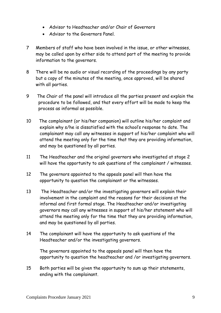- Advisor to Headteacher and/or Chair of Governors
- Advisor to the Governors Panel.
- 7 Members of staff who have been involved in the issue, or other witnesses, may be called upon by either side to attend part of the meeting to provide information to the governors.
- 8 There will be no audio or visual recording of the proceedings by any party but a copy of the minutes of the meeting, once approved, will be shared with all parties.
- 9 The Chair of the panel will introduce all the parties present and explain the procedure to be followed, and that every effort will be made to keep the process as informal as possible.
- 10 The complainant (or his/her companion) will outline his/her complaint and explain why s/he is dissatisfied with the school's response to date. The complainant may call any witnesses in support of his/her complaint who will attend the meeting only for the time that they are providing information, and may be questioned by all parties.
- 11 The Headteacher and the original governors who investigated at stage 2 will have the opportunity to ask questions of the complainant / witnesses.
- 12 The governors appointed to the appeals panel will then have the opportunity to question the complainant or the witnesses.
- 13 The Headteacher and/or the investigating governors will explain their involvement in the complaint and the reasons for their decisions at the informal and first formal stage. The Headteacher and/or investigating governors may call any witnesses in support of his/her statement who will attend the meeting only for the time that they are providing information, and may be questioned by all parties.
- 14 The complainant will have the opportunity to ask questions of the Headteacher and/or the investigating governors.

The governors appointed to the appeals panel will then have the opportunity to question the headteacher and /or investigating governors.

15 Both parties will be given the opportunity to sum up their statements, ending with the complainant.